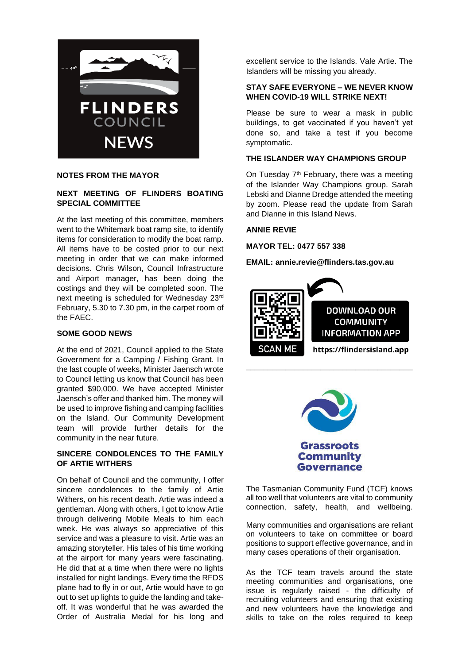

#### **NOTES FROM THE MAYOR**

## **NEXT MEETING OF FLINDERS BOATING SPECIAL COMMITTEE**

At the last meeting of this committee, members went to the Whitemark boat ramp site, to identify items for consideration to modify the boat ramp. All items have to be costed prior to our next meeting in order that we can make informed decisions. Chris Wilson, Council Infrastructure and Airport manager, has been doing the costings and they will be completed soon. The next meeting is scheduled for Wednesday 23rd February, 5.30 to 7.30 pm, in the carpet room of the FAEC.

# **SOME GOOD NEWS**

At the end of 2021, Council applied to the State Government for a Camping / Fishing Grant. In the last couple of weeks, Minister Jaensch wrote to Council letting us know that Council has been granted \$90,000. We have accepted Minister Jaensch's offer and thanked him. The money will be used to improve fishing and camping facilities on the Island. Our Community Development team will provide further details for the community in the near future.

# **SINCERE CONDOLENCES TO THE FAMILY OF ARTIE WITHERS**

On behalf of Council and the community, I offer sincere condolences to the family of Artie Withers, on his recent death. Artie was indeed a gentleman. Along with others, I got to know Artie through delivering Mobile Meals to him each week. He was always so appreciative of this service and was a pleasure to visit. Artie was an amazing storyteller. His tales of his time working at the airport for many years were fascinating. He did that at a time when there were no lights installed for night landings. Every time the RFDS plane had to fly in or out, Artie would have to go out to set up lights to guide the landing and takeoff. It was wonderful that he was awarded the Order of Australia Medal for his long and excellent service to the Islands. Vale Artie. The Islanders will be missing you already.

# **STAY SAFE EVERYONE – WE NEVER KNOW WHEN COVID-19 WILL STRIKE NEXT!**

Please be sure to wear a mask in public buildings, to get vaccinated if you haven't yet done so, and take a test if you become symptomatic.

## **THE ISLANDER WAY CHAMPIONS GROUP**

On Tuesday 7<sup>th</sup> February, there was a meeting of the Islander Way Champions group. Sarah Lebski and Dianne Dredge attended the meeting by zoom. Please read the update from Sarah and Dianne in this Island News.

## **ANNIE REVIE**

**MAYOR TEL: 0477 557 338**

**EMAIL: annie.revie@flinders.tas.gov.au**





The Tasmanian Community Fund (TCF) knows all too well that volunteers are vital to community connection, safety, health, and wellbeing.

Many communities and organisations are reliant on volunteers to take on committee or board positions to support effective governance, and in many cases operations of their organisation.

As the TCF team travels around the state meeting communities and organisations, one issue is regularly raised - the difficulty of recruiting volunteers and ensuring that existing and new volunteers have the knowledge and skills to take on the roles required to keep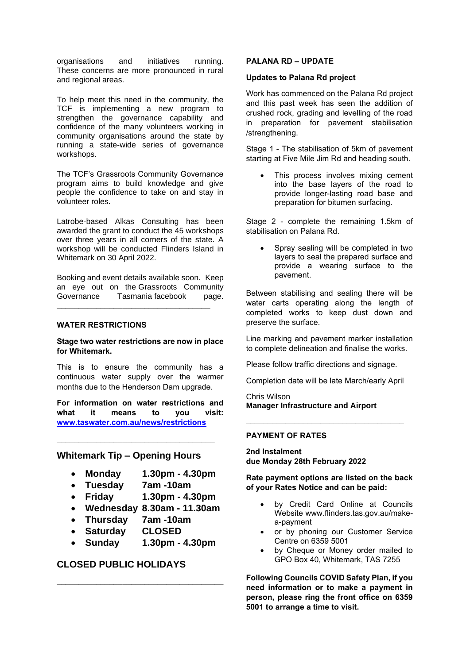organisations and initiatives running. These concerns are more pronounced in rural and regional areas.

To help meet this need in the community, the TCF is implementing a new program to strengthen the governance capability and confidence of the many volunteers working in community organisations around the state by running a state-wide series of governance workshops.

The TCF's Grassroots Community Governance program aims to build knowledge and give people the confidence to take on and stay in volunteer roles.

Latrobe-based Alkas Consulting has been awarded the grant to conduct the 45 workshops over three years in all corners of the state. A workshop will be conducted Flinders Island in Whitemark on 30 April 2022.

Booking and event details available soon. Keep an eye out on the Grassroots Community Governance Tasmania facebook page.

**\_\_\_\_\_\_\_\_\_\_\_\_\_\_\_\_\_\_\_\_\_\_\_\_\_\_\_\_\_\_\_\_\_\_\_**

#### **WATER RESTRICTIONS**

**Stage two water restrictions are now in place for Whitemark.**

This is to ensure the community has a continuous water supply over the warmer months due to the Henderson Dam upgrade.

**For information on water restrictions and what it means to you visit: [www.taswater.com.au/news/restrictions](http://www.taswater.com.au/news/restrictions)**

# **Whitemark Tip – Opening Hours**

**\_\_\_\_\_\_\_\_\_\_\_\_\_\_\_\_\_\_\_\_\_\_\_\_\_\_\_\_\_\_\_\_\_\_\_\_**

- **Monday 1.30pm - 4.30pm**
- **Tuesday 7am -10am**
- **Friday 1.30pm - 4.30pm**
- **Wednesday 8.30am - 11.30am**
- **Thursday 7am -10am**
- **Saturday CLOSED**
- **Sunday 1.30pm - 4.30pm**

**\_\_\_\_\_\_\_\_\_\_\_\_\_\_\_\_\_\_\_\_\_\_\_\_\_\_\_\_\_\_\_\_\_\_\_\_\_\_**

## **CLOSED PUBLIC HOLIDAYS**

#### **PALANA RD – UPDATE**

#### **Updates to Palana Rd project**

Work has commenced on the Palana Rd project and this past week has seen the addition of crushed rock, grading and levelling of the road in preparation for pavement stabilisation /strengthening.

Stage 1 - The stabilisation of 5km of pavement starting at Five Mile Jim Rd and heading south.

This process involves mixing cement into the base layers of the road to provide longer-lasting road base and preparation for bitumen surfacing.

Stage 2 - complete the remaining 1.5km of stabilisation on Palana Rd.

Spray sealing will be completed in two layers to seal the prepared surface and provide a wearing surface to the pavement.

Between stabilising and sealing there will be water carts operating along the length of completed works to keep dust down and preserve the surface.

Line marking and pavement marker installation to complete delineation and finalise the works.

Please follow traffic directions and signage.

Completion date will be late March/early April

**\_\_\_\_\_\_\_\_\_\_\_\_\_\_\_\_\_\_\_\_\_\_\_\_\_\_\_\_\_\_\_\_\_\_\_\_**

Chris Wilson **Manager Infrastructure and Airport**

#### **PAYMENT OF RATES**

**2nd Instalment due Monday 28th February 2022**

**Rate payment options are listed on the back of your Rates Notice and can be paid:**

- by Credit Card Online at Councils Website www.flinders.tas.gov.au/makea-payment
- or by phoning our Customer Service Centre on 6359 5001
- by Cheque or Money order mailed to GPO Box 40, Whitemark, TAS 7255

**Following Councils COVID Safety Plan, if you need information or to make a payment in person, please ring the front office on 6359 5001 to arrange a time to visit.**